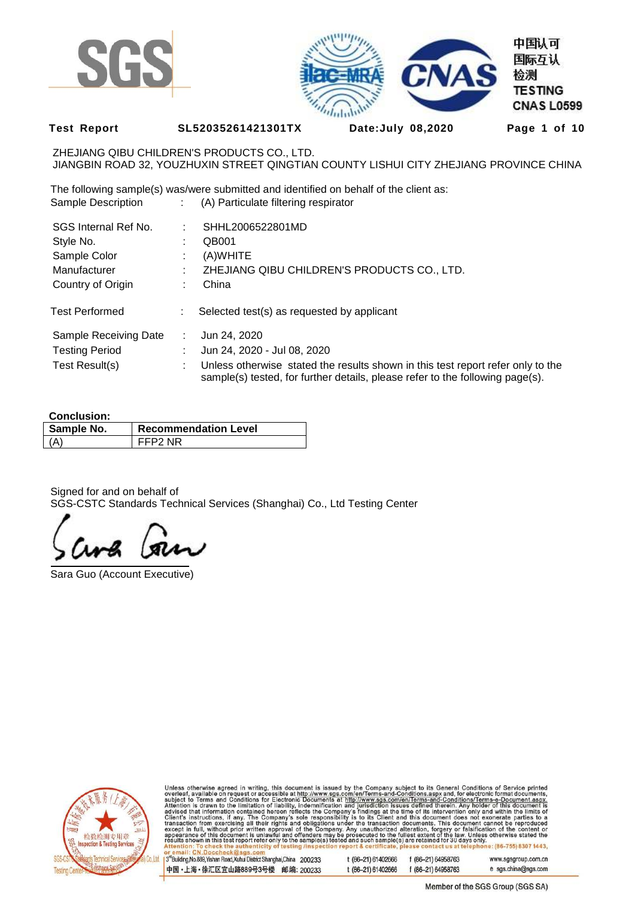



**Test Report SL52035261421301TX Date:July 08,2020 Page 1 of 10** 

ZHEJIANG QIBU CHILDREN'S PRODUCTS CO., LTD. JIANGBIN ROAD 32, YOUZHUXIN STREET QINGTIAN COUNTY LISHUI CITY ZHEJIANG PROVINCE CHINA

The following sample(s) was/were submitted and identified on behalf of the client as: Sample Description : (A) Particulate filtering respirator

| SGS Internal Ref No.  |               | SHHL2006522801MD                                                                                                                                                 |
|-----------------------|---------------|------------------------------------------------------------------------------------------------------------------------------------------------------------------|
| Style No.             |               | QB001                                                                                                                                                            |
| Sample Color          |               | (A)WHITE                                                                                                                                                         |
| Manufacturer          |               | ZHEJIANG QIBU CHILDREN'S PRODUCTS CO., LTD.                                                                                                                      |
| Country of Origin     |               | China                                                                                                                                                            |
| <b>Test Performed</b> | ÷             | Selected test(s) as requested by applicant                                                                                                                       |
| Sample Receiving Date | $\mathcal{L}$ | Jun 24, 2020                                                                                                                                                     |
| <b>Testing Period</b> |               | Jun 24, 2020 - Jul 08, 2020                                                                                                                                      |
| Test Result(s)        |               | Unless otherwise stated the results shown in this test report refer only to the<br>sample(s) tested, for further details, please refer to the following page(s). |

#### **Conclusion:**

| Sample No. | <b>Recommendation Level</b> |
|------------|-----------------------------|
| <b>(Δ)</b> | FFP2 NR                     |

Signed for and on behalf of SGS-CSTC Standards Technical Services (Shanghai) Co., Ltd Testing Center

Sara Guo (Account Executive)



Unless otherwise agreed in writing, this document is issued by the Company subject to its General Conditions of Service printed overleaf, available on request or accessible at http://www.sgs.com/en/Terms-and-Conditions.asp

3<sup>rd</sup>Building, No.889, Yishan Road, Xuhui District Shanghai, China 200233 t (86-21) 61402666 f (86-21) 64958763 www.sgsgroup.com.cn 中国·上海·徐汇区宜山路889号3号楼 邮编: 200233 t (86-21) 61402666 f (86-21) 64958763 e sgs.china@sgs.com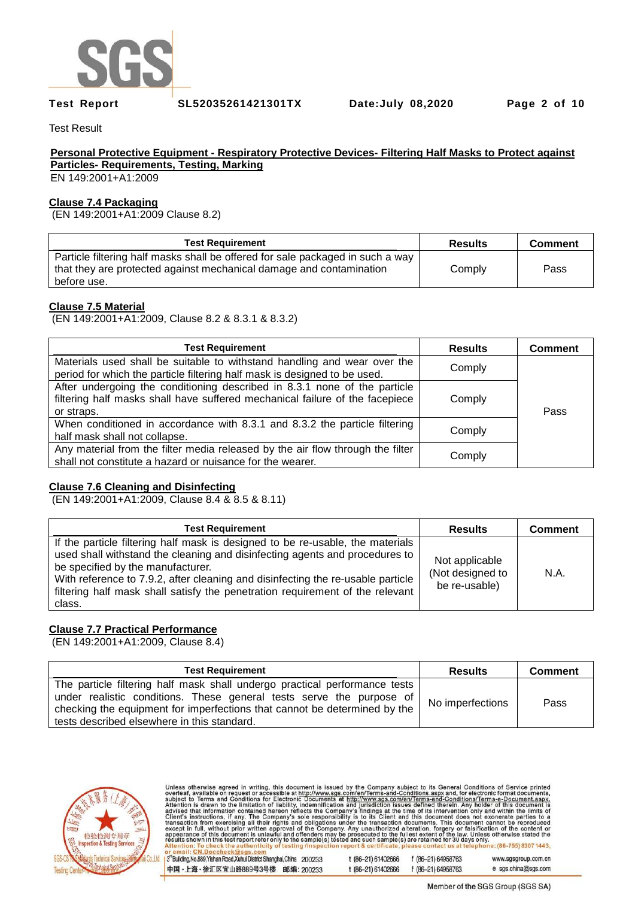

**Test Report SL52035261421301TX Date:July 08,2020 Page 2 of 10** 

Test Result

### **Personal Protective Equipment - Respiratory Protective Devices- Filtering Half Masks to Protect against Particles- Requirements, Testing, Marking**

EN 149:2001+A1:2009

### **Clause 7.4 Packaging**

(EN 149:2001+A1:2009 Clause 8.2)

| <b>Test Requirement</b>                                                                                                                                              | <b>Results</b> | <b>Comment</b> |
|----------------------------------------------------------------------------------------------------------------------------------------------------------------------|----------------|----------------|
| Particle filtering half masks shall be offered for sale packaged in such a way<br>that they are protected against mechanical damage and contamination<br>before use. | Comply         | Pass           |

## **Clause 7.5 Material**

(EN 149:2001+A1:2009, Clause 8.2 & 8.3.1 & 8.3.2)

| <b>Test Requirement</b>                                                                                                                                                 | <b>Results</b> | <b>Comment</b> |
|-------------------------------------------------------------------------------------------------------------------------------------------------------------------------|----------------|----------------|
| Materials used shall be suitable to withstand handling and wear over the<br>period for which the particle filtering half mask is designed to be used.                   | Comply         |                |
| After undergoing the conditioning described in 8.3.1 none of the particle<br>filtering half masks shall have suffered mechanical failure of the facepiece<br>or straps. | Comply         | Pass           |
| When conditioned in accordance with 8.3.1 and 8.3.2 the particle filtering<br>half mask shall not collapse.                                                             | Comply         |                |
| Any material from the filter media released by the air flow through the filter<br>shall not constitute a hazard or nuisance for the wearer.                             | Comply         |                |

### **Clause 7.6 Cleaning and Disinfecting**

(EN 149:2001+A1:2009, Clause 8.4 & 8.5 & 8.11)

| <b>Test Requirement</b>                                                                                                                                                                                                                                                                                                                                                          | <b>Results</b>                                      | <b>Comment</b> |
|----------------------------------------------------------------------------------------------------------------------------------------------------------------------------------------------------------------------------------------------------------------------------------------------------------------------------------------------------------------------------------|-----------------------------------------------------|----------------|
| If the particle filtering half mask is designed to be re-usable, the materials<br>used shall withstand the cleaning and disinfecting agents and procedures to<br>be specified by the manufacturer.<br>With reference to 7.9.2, after cleaning and disinfecting the re-usable particle<br>filtering half mask shall satisfy the penetration requirement of the relevant<br>class. | Not applicable<br>(Not designed to<br>be re-usable) | N.A.           |

# **Clause 7.7 Practical Performance**

(EN 149:2001+A1:2009, Clause 8.4)

| <b>Test Requirement</b>                                                                                                                                                                                                                                                        | <b>Results</b>   | <b>Comment</b> |
|--------------------------------------------------------------------------------------------------------------------------------------------------------------------------------------------------------------------------------------------------------------------------------|------------------|----------------|
| The particle filtering half mask shall undergo practical performance tests<br>under realistic conditions. These general tests serve the purpose of<br>checking the equipment for imperfections that cannot be determined by the<br>tests described elsewhere in this standard. | No imperfections | Pass           |



| Unless otherwise agreed in writing, this document is issued by the Company subject to its General Conditions of Service printed<br>overleaf, available on request or accessible at http://www.sgs.com/en/Terms-and-Conditions.aspx and, for electronic format documents,<br>subject to Terms and Conditions for Electronic Documents at http://www.sgs.com/en/Terms-and-Conditions/Terms-e-Document.aspx.<br>Attention is drawn to the limitation of liability, indemnification and jurisdiction issues defined therein. Any holder of this document is<br>advised that information contained hereon reflects the Company's findings at the time of its intervention only and within the limits of<br>Client's instructions, if any. The Company's sole responsibility is to its Client and this document does not exonerate parties to a<br>transaction from exercising all their rights and obligations under the transaction documents. This document cannot be reproduced<br>except in full, without prior written approval of the Company. Any unauthorized alteration, forgery or falsification of the content or<br>appearance of this document is unlawful and offenders may be prosecuted to the fullest extent of the law. Unless otherwise stated the<br>results shown in this test report refer only to the sample(s) tested and such sample(s) are retained for 30 days only.<br>Attention: To check the authenticity of testing /inspection report & certificate, please contact us at telephone: (86-755) 8307 1443, |                    |                    |                     |
|-------------------------------------------------------------------------------------------------------------------------------------------------------------------------------------------------------------------------------------------------------------------------------------------------------------------------------------------------------------------------------------------------------------------------------------------------------------------------------------------------------------------------------------------------------------------------------------------------------------------------------------------------------------------------------------------------------------------------------------------------------------------------------------------------------------------------------------------------------------------------------------------------------------------------------------------------------------------------------------------------------------------------------------------------------------------------------------------------------------------------------------------------------------------------------------------------------------------------------------------------------------------------------------------------------------------------------------------------------------------------------------------------------------------------------------------------------------------------------------------------------------------------------------|--------------------|--------------------|---------------------|
| or email: CN.Doccheck@sgs.com                                                                                                                                                                                                                                                                                                                                                                                                                                                                                                                                                                                                                                                                                                                                                                                                                                                                                                                                                                                                                                                                                                                                                                                                                                                                                                                                                                                                                                                                                                       |                    |                    |                     |
| I 3 <sup>rd</sup> Building, No.889, Yishan Road, Xuhui District Shanghai, China 200233                                                                                                                                                                                                                                                                                                                                                                                                                                                                                                                                                                                                                                                                                                                                                                                                                                                                                                                                                                                                                                                                                                                                                                                                                                                                                                                                                                                                                                              | t (86-21) 61402666 | f (86-21) 64958763 | www.sgsgroup.com.cn |
| 中国・上海・徐汇区宜山路889号3号楼<br>邮编: 200233                                                                                                                                                                                                                                                                                                                                                                                                                                                                                                                                                                                                                                                                                                                                                                                                                                                                                                                                                                                                                                                                                                                                                                                                                                                                                                                                                                                                                                                                                                   | t (86-21) 61402666 | f (86-21) 64958763 | e sgs.china@sgs.com |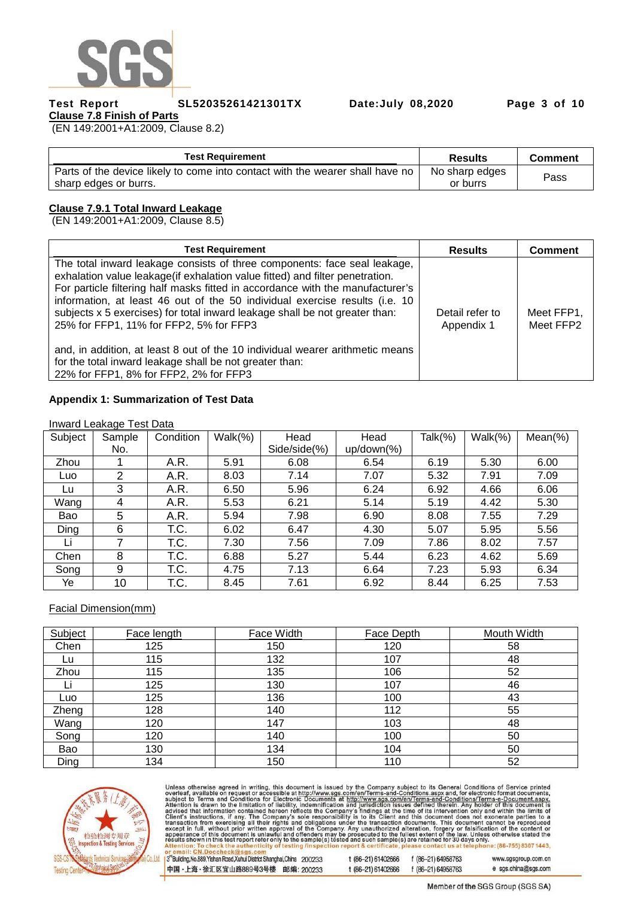

**Test Report SL52035261421301TX Date:July 08,2020 Page 3 of 10** 

**Clause 7.8 Finish of Parts**  (EN 149:2001+A1:2009, Clause 8.2)

| <b>Test Requirement</b>                                                                                | <b>Results</b>             | <b>Comment</b> |
|--------------------------------------------------------------------------------------------------------|----------------------------|----------------|
| Parts of the device likely to come into contact with the wearer shall have no<br>sharp edges or burrs. | No sharp edges<br>or burrs | Pass           |
|                                                                                                        |                            |                |

## **Clause 7.9.1 Total Inward Leakage**

(EN 149:2001+A1:2009, Clause 8.5)

| <b>Test Requirement</b>                                                                                                                                                                                                                                                                                                                                                                                                                                                                                                                                                                                                                     | <b>Results</b>                | <b>Comment</b>          |
|---------------------------------------------------------------------------------------------------------------------------------------------------------------------------------------------------------------------------------------------------------------------------------------------------------------------------------------------------------------------------------------------------------------------------------------------------------------------------------------------------------------------------------------------------------------------------------------------------------------------------------------------|-------------------------------|-------------------------|
| The total inward leakage consists of three components: face seal leakage,<br>exhalation value leakage (if exhalation value fitted) and filter penetration.<br>For particle filtering half masks fitted in accordance with the manufacturer's<br>information, at least 46 out of the 50 individual exercise results (i.e. 10<br>subjects x 5 exercises) for total inward leakage shall be not greater than:<br>25% for FFP1, 11% for FFP2, 5% for FFP3<br>and, in addition, at least 8 out of the 10 individual wearer arithmetic means<br>for the total inward leakage shall be not greater than:<br>22% for FFP1, 8% for FFP2, 2% for FFP3 | Detail refer to<br>Appendix 1 | Meet FFP1,<br>Meet FFP2 |

#### **Appendix 1: Summarization of Test Data**

#### Inward Leakage Test Data

| Subject | Sample | Condition | $Walk(\%)$ | Head         | Head           | Talk(%) | $Walk(\%)$ | $Mean(\%)$ |
|---------|--------|-----------|------------|--------------|----------------|---------|------------|------------|
|         | No.    |           |            | Side/side(%) | $up/down(\% )$ |         |            |            |
| Zhou    |        | A.R.      | 5.91       | 6.08         | 6.54           | 6.19    | 5.30       | 6.00       |
| Luo     | 2      | A.R.      | 8.03       | 7.14         | 7.07           | 5.32    | 7.91       | 7.09       |
| Lu      | 3      | A.R.      | 6.50       | 5.96         | 6.24           | 6.92    | 4.66       | 6.06       |
| Wang    | 4      | A.R.      | 5.53       | 6.21         | 5.14           | 5.19    | 4.42       | 5.30       |
| Bao     | 5      | A.R.      | 5.94       | 7.98         | 6.90           | 8.08    | 7.55       | 7.29       |
| Ding    | 6      | T.C.      | 6.02       | 6.47         | 4.30           | 5.07    | 5.95       | 5.56       |
| Li      | 7      | T.C.      | 7.30       | 7.56         | 7.09           | 7.86    | 8.02       | 7.57       |
| Chen    | 8      | T.C.      | 6.88       | 5.27         | 5.44           | 6.23    | 4.62       | 5.69       |
| Song    | 9      | T.C.      | 4.75       | 7.13         | 6.64           | 7.23    | 5.93       | 6.34       |
| Ye      | 10     | T.C.      | 8.45       | 7.61         | 6.92           | 8.44    | 6.25       | 7.53       |

Facial Dimension(mm)

| Subject | Face length | Face Width | Face Depth | Mouth Width |
|---------|-------------|------------|------------|-------------|
| Chen    | 125         | 150        | 120        | 58          |
| Lu      | 115         | 132        | 107        | 48          |
| Zhou    | 115         | 135        | 106        | 52          |
|         | 125         | 130        | 107        | 46          |
| Luo     | 125         | 136        | 100        | 43          |
| Zheng   | 128         | 140        | 112        | 55          |
| Wang    | 120         | 147        | 103        | 48          |
| Song    | 120         | 140        | 100        | 50          |
| Bao     | 130         | 134        | 104        | 50          |
| Ding    | 134         | 150        | 110        | 52          |



Unless otherwise agreed in writing, this document is issued by the Company subject to its General Conditions of Service printed<br>overleaf, available on request or accessible at http://www.sgs.com/en/Terms-and-Conditions.asp

3rd Building, No.889, Yishan Road, Xuhui District Shanghai, China 200233 t (86-21) 61402666 f (86-21) 64958763 www.sgsgroup.com.cn 中国·上海·徐汇区宜山路889号3号楼 邮编: 200233 e sgs.china@sgs.com t (86-21) 61402666 f (86-21) 64958763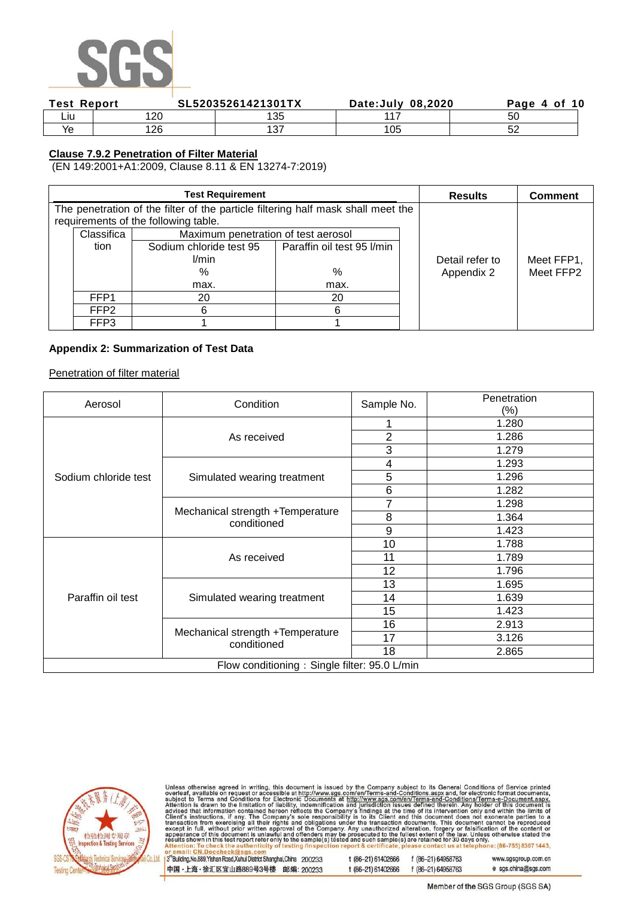

| <b>Test Report</b> | SL52035261421301TX |             | Date: July 08, 2020 |    |
|--------------------|--------------------|-------------|---------------------|----|
| Liu                | ∩∩                 | 135         | 447                 | 50 |
| Ye                 | 1 つに               | 127<br>ັບ ≀ | 105                 | ັ  |

## **Clause 7.9.2 Penetration of Filter Material**

(EN 149:2001+A1:2009, Clause 8.11 & EN 13274-7:2019)

|                  | <b>Test Requirement</b>                                                          |                            | <b>Results</b>  | <b>Comment</b> |
|------------------|----------------------------------------------------------------------------------|----------------------------|-----------------|----------------|
|                  | The penetration of the filter of the particle filtering half mask shall meet the |                            |                 |                |
|                  | requirements of the following table.                                             |                            |                 |                |
| Classifica       | Maximum penetration of test aerosol                                              |                            |                 |                |
| tion             | Sodium chloride test 95                                                          | Paraffin oil test 95 I/min |                 |                |
|                  | l/min                                                                            |                            | Detail refer to | Meet FFP1,     |
|                  | %                                                                                | %                          | Appendix 2      | Meet FFP2      |
| max.             |                                                                                  | max.                       |                 |                |
| FFP <sub>1</sub> | 20                                                                               | 20                         |                 |                |
| FFP <sub>2</sub> | 6                                                                                | 6                          |                 |                |
| FFP3             |                                                                                  |                            |                 |                |

## **Appendix 2: Summarization of Test Data**

Penetration of filter material

| Aerosol              | Condition                                       | Sample No.     | Penetration |
|----------------------|-------------------------------------------------|----------------|-------------|
|                      |                                                 |                | $(\% )$     |
|                      |                                                 |                | 1.280       |
|                      | As received                                     | $\overline{2}$ | 1.286       |
|                      |                                                 | 3              | 1.279       |
|                      |                                                 | 4              | 1.293       |
| Sodium chloride test | Simulated wearing treatment                     | 5              | 1.296       |
|                      |                                                 | 6              | 1.282       |
|                      |                                                 |                | 1.298       |
|                      | Mechanical strength +Temperature<br>conditioned | 8              | 1.364       |
|                      |                                                 | 9              | 1.423       |
|                      |                                                 | 10             | 1.788       |
|                      | As received                                     | 11             | 1.789       |
|                      |                                                 | 12             | 1.796       |
|                      |                                                 | 13             | 1.695       |
| Paraffin oil test    | Simulated wearing treatment                     | 14             | 1.639       |
|                      |                                                 | 15             | 1.423       |
|                      |                                                 | 16             | 2.913       |
|                      | Mechanical strength +Temperature<br>conditioned | 17             | 3.126       |
|                      |                                                 | 18             | 2.865       |
|                      | Flow conditioning: Single filter: 95.0 L/min    |                |             |



Unless otherwise agreed in writing, this document is issued by the Company subject to its General Conditions of Service printed<br>overleaf, available on request or accessible at http://www.sgs.com/en/Terms-and-Conditions.asp

3<sup>rd</sup>Building, No.889, Yishan Road, Xuhui District Shanghai, China 200233 中国·上海·徐汇区宜山路889号3号楼 邮编: 200233 t (86-21) 61402666 f (86-21) 64958763 t (86-21) 61402666 f (86-21) 64958763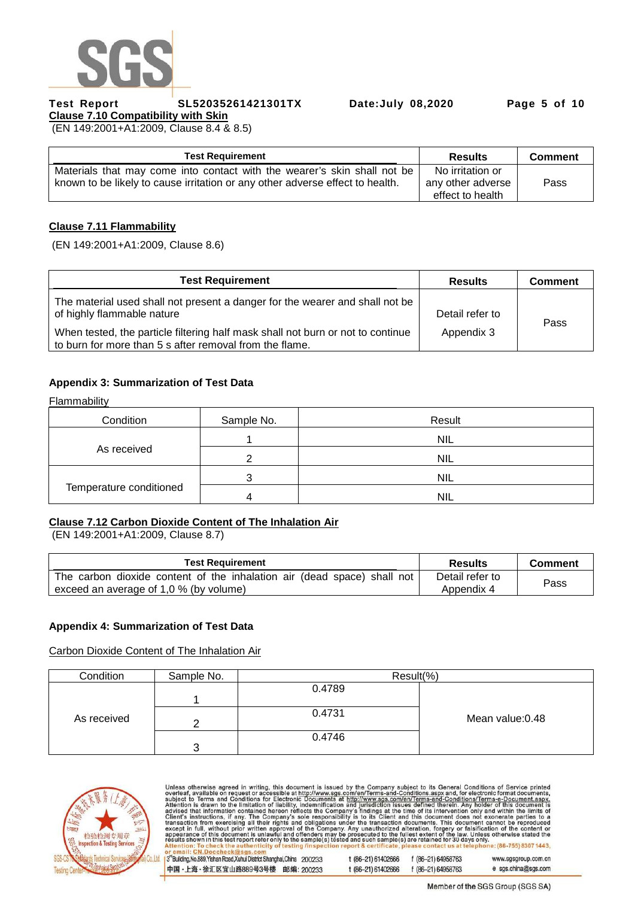

**Test Report SL52035261421301TX Date:July 08,2020 Page 5 of 10** 

**Clause 7.10 Compatibility with Skin**  (EN 149:2001+A1:2009, Clause 8.4 & 8.5)

| <b>Test Requirement</b>                                                       | <b>Results</b>    | <b>Comment</b> |
|-------------------------------------------------------------------------------|-------------------|----------------|
| Materials that may come into contact with the wearer's skin shall not be      | No irritation or  |                |
| known to be likely to cause irritation or any other adverse effect to health. | any other adverse | Pass           |
|                                                                               | effect to health  |                |

## **Clause 7.11 Flammability**

(EN 149:2001+A1:2009, Clause 8.6)

| <b>Test Requirement</b>                                                                                                                    | <b>Results</b>  | <b>Comment</b> |
|--------------------------------------------------------------------------------------------------------------------------------------------|-----------------|----------------|
| The material used shall not present a danger for the wearer and shall not be<br>of highly flammable nature                                 | Detail refer to | Pass           |
| When tested, the particle filtering half mask shall not burn or not to continue<br>to burn for more than 5 s after removal from the flame. | Appendix 3      |                |

## **Appendix 3: Summarization of Test Data**

Flammability

| Condition               | Sample No. | Result     |
|-------------------------|------------|------------|
|                         |            | <b>NIL</b> |
| As received             |            | <b>NIL</b> |
|                         |            | <b>NIL</b> |
| Temperature conditioned |            | <b>NIL</b> |

### **Clause 7.12 Carbon Dioxide Content of The Inhalation Air**

(EN 149:2001+A1:2009, Clause 8.7)

| <b>Test Requirement</b>                                                                                           | <b>Results</b>                | <b>Comment</b> |
|-------------------------------------------------------------------------------------------------------------------|-------------------------------|----------------|
| The carbon dioxide content of the inhalation air (dead space) shall not<br>exceed an average of 1,0 % (by volume) | Detail refer to<br>Appendix 4 | Pass           |

### **Appendix 4: Summarization of Test Data**

Carbon Dioxide Content of The Inhalation Air

| Condition   | Sample No. | Result(%) |                  |
|-------------|------------|-----------|------------------|
|             |            | 0.4789    |                  |
|             |            |           |                  |
| As received |            | 0.4731    | Mean value: 0.48 |
|             |            |           |                  |
|             |            | 0.4746    |                  |
|             | ?          |           |                  |



Unless otherwise agreed in writing, this document is issued by the Company subject to its General Conditions of Service printed<br>overleaf, available on request or accessible at http://www.sgs.com/en/Terms-and-Conditions.asp 3<sup>rd</sup>Building, No.889, Yishan Road, Xuhui District Shanghai, China 200233 t (86-21) 61402666 f (86-21) 64958763 www.sgsgroup.com.cn e sgs.china@sgs.com 中国·上海·徐汇区宜山路889号3号楼 邮编: 200233 t (86-21) 61402666 f (86-21) 64958763

Member of the SGS Group (SGS SA)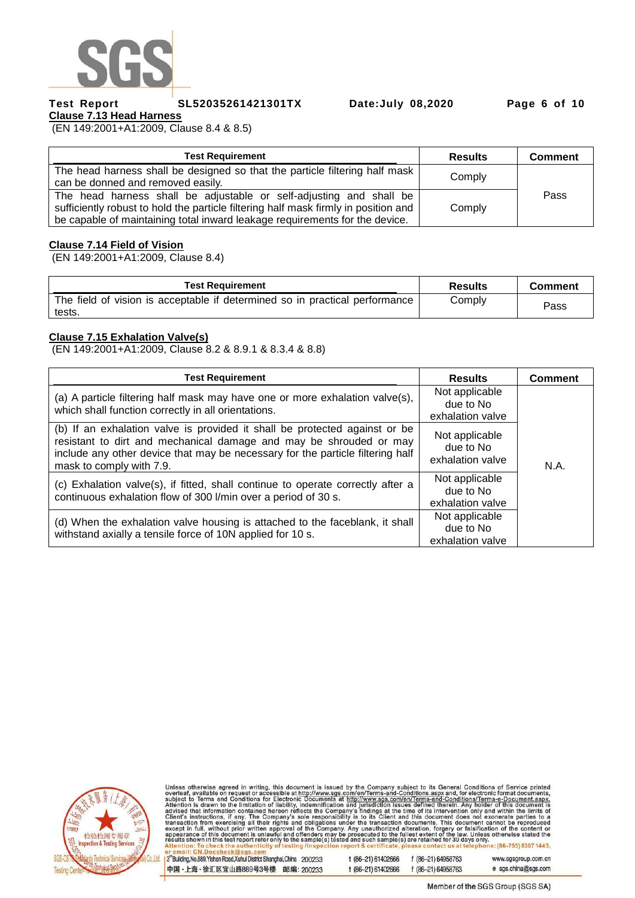

#### **Test Report SL52035261421301TX Date:July 08,2020 Page 6 of 10**

**Clause 7.13 Head Harness**  (EN 149:2001+A1:2009, Clause 8.4 & 8.5)

| <b>Test Requirement</b>                                                                                                                                                                                                                   | <b>Results</b> | <b>Comment</b> |
|-------------------------------------------------------------------------------------------------------------------------------------------------------------------------------------------------------------------------------------------|----------------|----------------|
| The head harness shall be designed so that the particle filtering half mask<br>can be donned and removed easily.                                                                                                                          | Comply         |                |
| The head harness shall be adjustable or self-adjusting and shall be<br>sufficiently robust to hold the particle filtering half mask firmly in position and<br>be capable of maintaining total inward leakage requirements for the device. | Comply         | Pass           |

#### **Clause 7.14 Field of Vision**

(EN 149:2001+A1:2009, Clause 8.4)

| <b>Test Requirement</b>                                                               | <b>Results</b> | <b>Comment</b> |
|---------------------------------------------------------------------------------------|----------------|----------------|
| The field of vision is acceptable if determined so in practical performance<br>tests. | Comply         | Pass           |

#### **Clause 7.15 Exhalation Valve(s)**

(EN 149:2001+A1:2009, Clause 8.2 & 8.9.1 & 8.3.4 & 8.8)

| <b>Test Requirement</b>                                                                                                                                                                                                                                        | <b>Results</b>                                  | <b>Comment</b> |
|----------------------------------------------------------------------------------------------------------------------------------------------------------------------------------------------------------------------------------------------------------------|-------------------------------------------------|----------------|
| (a) A particle filtering half mask may have one or more exhalation valve(s),<br>which shall function correctly in all orientations.                                                                                                                            | Not applicable<br>due to No<br>exhalation valve |                |
| (b) If an exhalation valve is provided it shall be protected against or be<br>resistant to dirt and mechanical damage and may be shrouded or may<br>include any other device that may be necessary for the particle filtering half<br>mask to comply with 7.9. | Not applicable<br>due to No<br>exhalation valve | N.A.           |
| (c) Exhalation valve(s), if fitted, shall continue to operate correctly after a<br>continuous exhalation flow of 300 l/min over a period of 30 s.                                                                                                              | Not applicable<br>due to No<br>exhalation valve |                |
| (d) When the exhalation valve housing is attached to the faceblank, it shall<br>withstand axially a tensile force of 10N applied for 10 s.                                                                                                                     | Not applicable<br>due to No<br>exhalation valve |                |



Unless otherwise agreed in writing, this document is issued by the Company subject to its General Conditions of Service printed<br>overleaf, available on request or accessible at http://www.sgs.com/en/Terms-and-Conditions.asp

3<sup>rd</sup>Building, No.889, Yishan Road, Xuhui District Shanghai, China 200233 中国·上海·徐汇区宜山路889号3号楼 邮编: 200233 t (86-21) 61402666 f (86-21) 64958763 t (86-21) 61402666 f (86-21) 64958763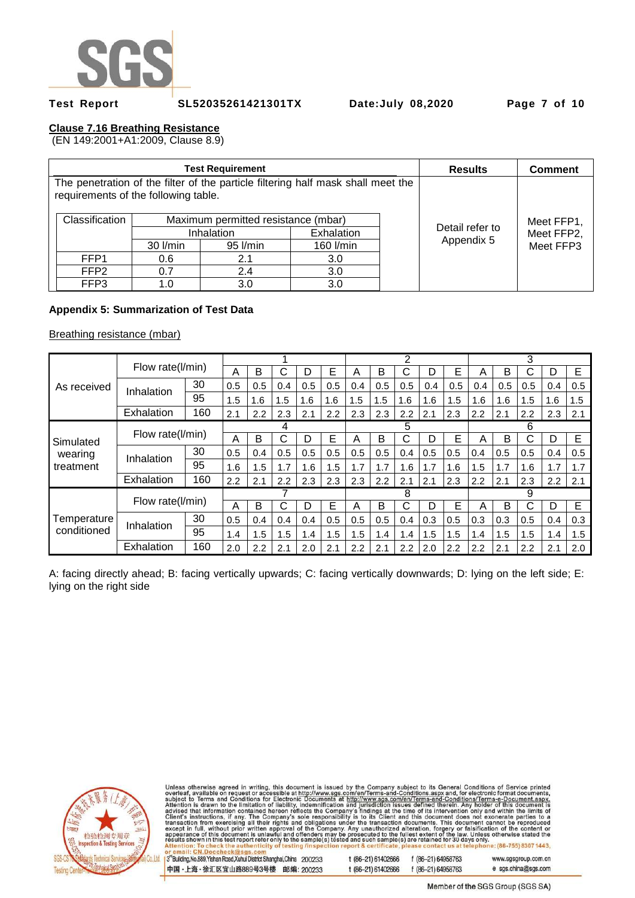

**Test Report SL52035261421301TX Date:July 08,2020 Page 7 of 10** 

# **Clause 7.16 Breathing Resistance**

(EN 149:2001+A1:2009, Clause 8.9)

|                                                                                                                          |            | <b>Test Requirement</b>             |            |            | <b>Results</b>                | <b>Comment</b>          |
|--------------------------------------------------------------------------------------------------------------------------|------------|-------------------------------------|------------|------------|-------------------------------|-------------------------|
| The penetration of the filter of the particle filtering half mask shall meet the<br>requirements of the following table. |            |                                     |            |            |                               |                         |
| Classification                                                                                                           |            | Maximum permitted resistance (mbar) |            | Meet FFP1, |                               |                         |
|                                                                                                                          |            | Inhalation                          | Exhalation |            | Detail refer to<br>Appendix 5 | Meet FFP2,<br>Meet FFP3 |
|                                                                                                                          | $30$ I/min | 95 l/min                            | 160 l/min  |            |                               |                         |
| FFP <sub>1</sub>                                                                                                         | 0.6        | 2.1                                 | 3.0        |            |                               |                         |
| FFP <sub>2</sub>                                                                                                         | 0.7        | 2.4                                 | 3.0        |            |                               |                         |
| FFP3                                                                                                                     | 1.0        | 3.0                                 | 3.0        |            |                               |                         |

### **Appendix 5: Summarization of Test Data**

Breathing resistance (mbar)

|             |                        | Flow rate(I/min) |     |     |     |     |     | っ   |     |     |     | 3   |     |                  |     |     |     |
|-------------|------------------------|------------------|-----|-----|-----|-----|-----|-----|-----|-----|-----|-----|-----|------------------|-----|-----|-----|
|             |                        |                  |     | B   | С   | D   | E   | A   | B   | С   |     | Е   | A   | в                | С   | D   | E   |
| As received | 30<br>Inhalation       |                  | 0.5 | 0.5 | 0.4 | 0.5 | 0.5 | 0.4 | 0.5 | 0.5 | 0.4 | 0.5 | 0.4 | 0.5              | 0.5 | 0.4 | 0.5 |
|             |                        | 95               | 1.5 | 1.6 | 1.5 | 1.6 | 1.6 | 1.5 | 1.5 | 1.6 | 1.6 | 1.5 | 1.6 | 1.6              | 1.5 | 1.6 | 1.5 |
|             | Exhalation             | 160              | 2.1 | 2.2 | 2.3 | 2.1 | 2.2 | 2.3 | 2.3 | 2.2 | 2.1 | 2.3 | 2.2 | 2.1              | 2.2 | 2.3 | 2.1 |
|             |                        |                  |     |     | 4   |     |     |     |     | 5   |     |     |     | 6                |     |     |     |
| Simulated   | Flow rate(I/min)       |                  | A   | B   | C   | D   | Е   | А   | B   | C   | D   | E   | A   | Е<br>C<br>B<br>D |     |     |     |
| wearing     | 30<br>Inhalation<br>95 |                  | 0.5 | 0.4 | 0.5 | 0.5 | 0.5 | 0.5 | 0.5 | 0.4 | 0.5 | 0.5 | 0.4 | 0.5              | 0.5 | 0.4 | 0.5 |
| treatment   |                        |                  | 1.6 | 1.5 | 1.7 | 1.6 | 1.5 | 1.7 | 1.7 | 1.6 | 1.7 | 1.6 | 1.5 | 1.7              | 1.6 | 1.7 | 1.7 |
|             | Exhalation             | 160              | 2.2 | 2.1 | 2.2 | 2.3 | 2.3 | 2.3 | 2.2 | 2.1 | 2.1 | 2.3 | 2.2 | 2.1              | 2.3 | 2.2 | 2.1 |
|             |                        |                  |     |     |     |     |     | 8   |     |     | 9   |     |     |                  |     |     |     |
|             | Flow rate(I/min)       |                  | А   | B   | C   | D   | Е   | Α   | B   | C   | D   | E   | A   | B                | C   | D   | E   |
| Temperature | Inhalation             | 30               | 0.5 | 0.4 | 0.4 | 0.4 | 0.5 | 0.5 | 0.5 | 0.4 | 0.3 | 0.5 | 0.3 | 0.3              | 0.5 | 0.4 | 0.3 |
| conditioned |                        | 95               | 1.4 | 1.5 | 1.5 | 1.4 | 1.5 | 1.5 | 1.4 | 1.4 | 1.5 | 1.5 | 1.4 | 1.5              | 1.5 | 1.4 | 1.5 |
|             | Exhalation             | 160              | 2.0 | 2.2 | 2.1 | 2.0 | 2.1 | 2.2 | 2.1 | 2.2 | 2.0 | 2.2 | 2.2 | 2.1              | 2.2 | 2.1 | 2.0 |

A: facing directly ahead; B: facing vertically upwards; C: facing vertically downwards; D: lying on the left side; E: lying on the right side



Unless otherwise agreed in writing, this document is issued by the Company subject to its General Conditions of Service printed<br>overleaf, available on request or accessible at http://www.sgs.com/en/Terms-and-Conditions.asp

3<sup>rd</sup>Building, No.889, Yishan Road, Xuhui District Shanghai, China 200233 中国·上海·徐汇区宜山路889号3号楼 邮编: 200233 t (86-21) 61402666 f (86-21) 64958763

f (86-21) 64958763

t (86-21) 61402666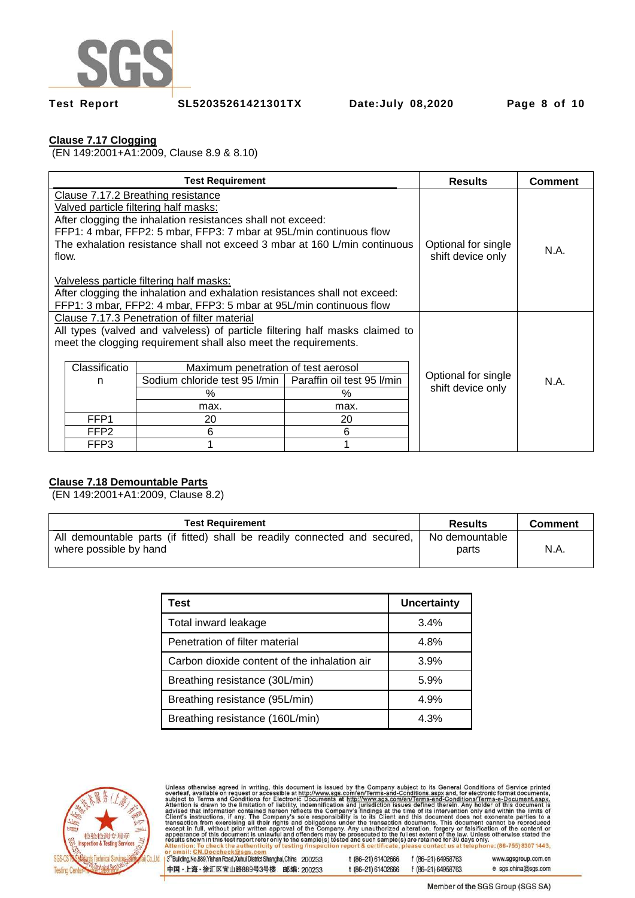

**Test Report SL52035261421301TX Date:July 08,2020 Page 8 of 10** 

# **Clause 7.17 Clogging**

(EN 149:2001+A1:2009, Clause 8.9 & 8.10)

| <b>Test Requirement</b>                                                                                                                                                                                                                                                                                                                                                                                                                                                                                                                              |                                                                                                                                                                                                                                                                                                                                                                                                       |  | <b>Results</b>                           | <b>Comment</b> |  |
|------------------------------------------------------------------------------------------------------------------------------------------------------------------------------------------------------------------------------------------------------------------------------------------------------------------------------------------------------------------------------------------------------------------------------------------------------------------------------------------------------------------------------------------------------|-------------------------------------------------------------------------------------------------------------------------------------------------------------------------------------------------------------------------------------------------------------------------------------------------------------------------------------------------------------------------------------------------------|--|------------------------------------------|----------------|--|
| Clause 7.17.2 Breathing resistance<br>Valved particle filtering half masks:<br>After clogging the inhalation resistances shall not exceed:<br>FFP1: 4 mbar, FFP2: 5 mbar, FFP3: 7 mbar at 95L/min continuous flow<br>The exhalation resistance shall not exceed 3 mbar at 160 L/min continuous<br>Optional for single<br>flow.<br>shift device only<br>Valveless particle filtering half masks:<br>After clogging the inhalation and exhalation resistances shall not exceed:<br>FFP1: 3 mbar, FFP2: 4 mbar, FFP3: 5 mbar at 95L/min continuous flow |                                                                                                                                                                                                                                                                                                                                                                                                       |  |                                          |                |  |
|                                                                                                                                                                                                                                                                                                                                                                                                                                                                                                                                                      | Clause 7.17.3 Penetration of filter material<br>All types (valved and valveless) of particle filtering half masks claimed to<br>meet the clogging requirement shall also meet the requirements.<br>Classificatio<br>Maximum penetration of test aerosol<br>Sodium chloride test 95 l/min   Paraffin oil test 95 l/min<br>n<br>$\%$<br>%<br>max.<br>max.<br>FFP1<br>20<br>20<br>FFP2<br>6<br>6<br>FFP3 |  | Optional for single<br>shift device only | N.A.           |  |

# **Clause 7.18 Demountable Parts**

(EN 149:2001+A1:2009, Clause 8.2)

| <b>Test Requirement</b>                                                                             | Results                 | <b>Comment</b> |
|-----------------------------------------------------------------------------------------------------|-------------------------|----------------|
| All demountable parts (if fitted) shall be readily connected and secured,<br>where possible by hand | No demountable<br>parts | N.A.           |

| Test                                         | <b>Uncertainty</b> |
|----------------------------------------------|--------------------|
| Total inward leakage                         | 3.4%               |
| Penetration of filter material               | 4.8%               |
| Carbon dioxide content of the inhalation air | 3.9%               |
| Breathing resistance (30L/min)               | 5.9%               |
| Breathing resistance (95L/min)               | 4.9%               |
| Breathing resistance (160L/min)              | 4.3%               |



Unless otherwise agreed in writing, this document is issued by the Company subject to its General Conditions of Service printed<br>overleaf, available on request or accessible at http://www.sgs.com/en/Terms-and-Conditions.asp t (86-21) 61402666 f (86-21) 64958763

t (86-21) 61402666

3rd Building, No.889, Yishan Road, Xuhui District Shanghai, China 200233 中国·上海·徐汇区宜山路889号3号楼 邮编: 200233

www.sgsgroup.com.cn e sgs.china@sgs.com f (86-21) 64958763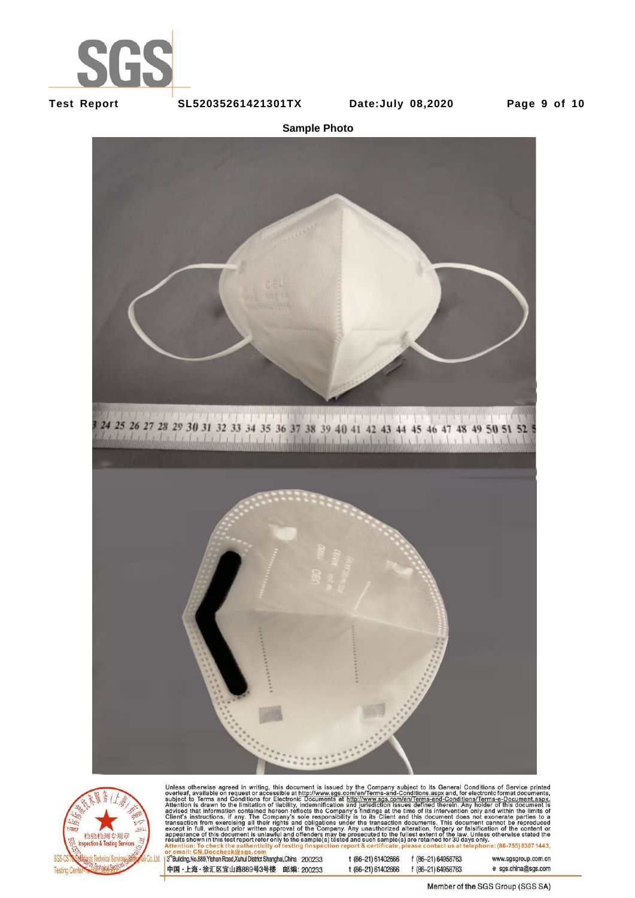

**Test Report SL52035261421301TX Date:July 08,2020 Page 9 of 10** 

**Sample Photo**





Unless otherwise agreed in writing, this document is issued by the Company subject to its General Conditions of Service printed<br>overleaf, available on request or accessible at http://www.sgs.com/en/Terms-and-Conditions.asp

3<sup>rd</sup>Building, No.889, Yishan Road, Xuhui District Shanghai, China 200233 中国·上海·徐汇区宜山路889号3号楼 邮编: 200233 t (86-21) 61402666 f (86-21) 64958763 t (86-21) 61402666 f (86-21) 64958763